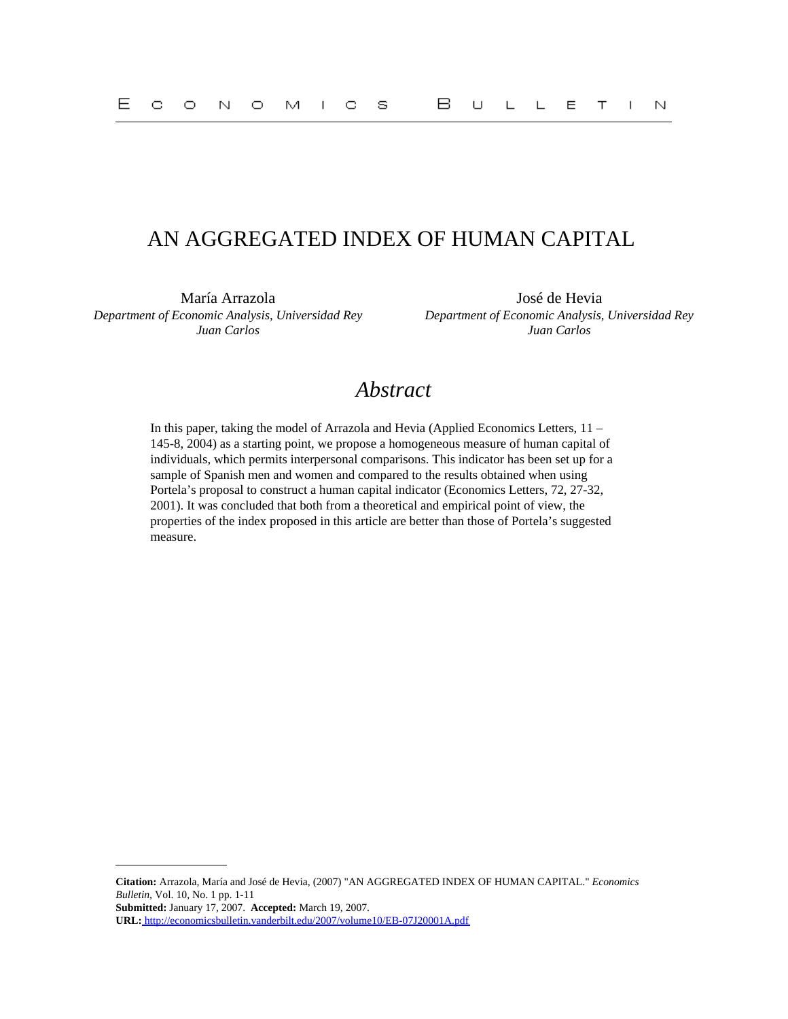# AN AGGREGATED INDEX OF HUMAN CAPITAL

María Arrazola José de Hevia *Department of Economic Analysis, Universidad Rey Juan Carlos*

*Department of Economic Analysis, Universidad Rey Juan Carlos*

# *Abstract*

In this paper, taking the model of Arrazola and Hevia (Applied Economics Letters, 11 – 145-8, 2004) as a starting point, we propose a homogeneous measure of human capital of individuals, which permits interpersonal comparisons. This indicator has been set up for a sample of Spanish men and women and compared to the results obtained when using Portela's proposal to construct a human capital indicator (Economics Letters, 72, 27-32, 2001). It was concluded that both from a theoretical and empirical point of view, the properties of the index proposed in this article are better than those of Portela's suggested measure.

**Citation:** Arrazola, María and José de Hevia, (2007) "AN AGGREGATED INDEX OF HUMAN CAPITAL." *Economics Bulletin,* Vol. 10, No. 1 pp. 1-11

**Submitted:** January 17, 2007. **Accepted:** March 19, 2007.

**URL:**<http://economicsbulletin.vanderbilt.edu/2007/volume10/EB-07J20001A.pdf>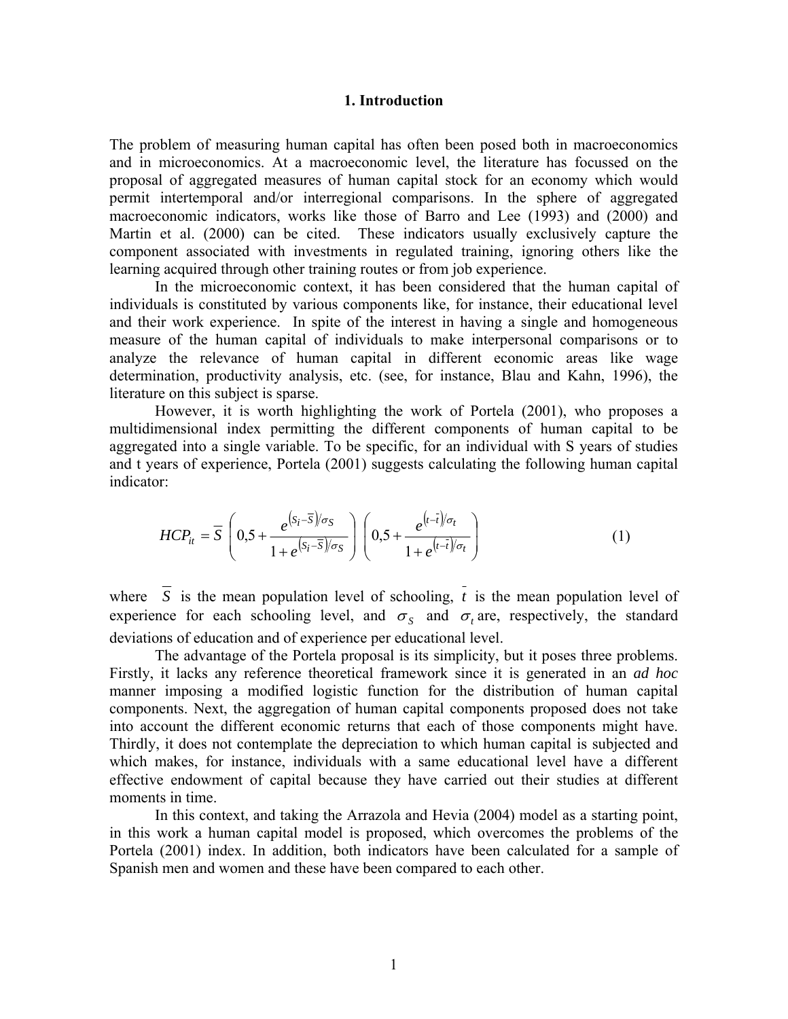### **1. Introduction**

The problem of measuring human capital has often been posed both in macroeconomics and in microeconomics. At a macroeconomic level, the literature has focussed on the proposal of aggregated measures of human capital stock for an economy which would permit intertemporal and/or interregional comparisons. In the sphere of aggregated macroeconomic indicators, works like those of Barro and Lee (1993) and (2000) and Martin et al. (2000) can be cited. These indicators usually exclusively capture the component associated with investments in regulated training, ignoring others like the learning acquired through other training routes or from job experience.

In the microeconomic context, it has been considered that the human capital of individuals is constituted by various components like, for instance, their educational level and their work experience. In spite of the interest in having a single and homogeneous measure of the human capital of individuals to make interpersonal comparisons or to analyze the relevance of human capital in different economic areas like wage determination, productivity analysis, etc. (see, for instance, Blau and Kahn, 1996), the literature on this subject is sparse.

However, it is worth highlighting the work of Portela (2001), who proposes a multidimensional index permitting the different components of human capital to be aggregated into a single variable. To be specific, for an individual with S years of studies and t years of experience, Portela (2001) suggests calculating the following human capital indicator:

$$
HCP_{it} = \overline{S} \left( 0, 5 + \frac{e^{(s_i - \overline{S})/\sigma_S}}{1 + e^{(s_i - \overline{S})/\sigma_S}} \right) \left( 0, 5 + \frac{e^{(t - \overline{t})/\sigma_t}}{1 + e^{(t - \overline{t})/\sigma_t}} \right)
$$
(1)

where  $\overline{S}$  is the mean population level of schooling,  $\overline{t}$  is the mean population level of experience for each schooling level, and  $\sigma_s$  and  $\sigma_t$  are, respectively, the standard deviations of education and of experience per educational level.

The advantage of the Portela proposal is its simplicity, but it poses three problems. Firstly, it lacks any reference theoretical framework since it is generated in an *ad hoc* manner imposing a modified logistic function for the distribution of human capital components. Next, the aggregation of human capital components proposed does not take into account the different economic returns that each of those components might have. Thirdly, it does not contemplate the depreciation to which human capital is subjected and which makes, for instance, individuals with a same educational level have a different effective endowment of capital because they have carried out their studies at different moments in time.

In this context, and taking the Arrazola and Hevia (2004) model as a starting point, in this work a human capital model is proposed, which overcomes the problems of the Portela (2001) index. In addition, both indicators have been calculated for a sample of Spanish men and women and these have been compared to each other.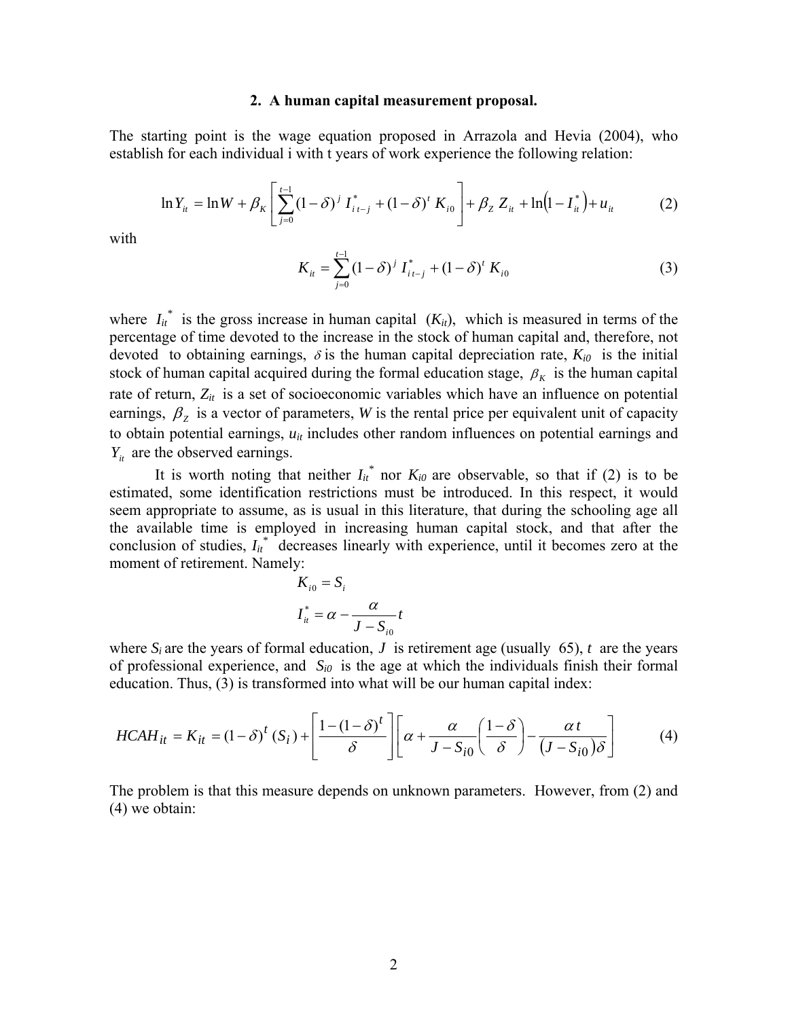### **2. A human capital measurement proposal.**

The starting point is the wage equation proposed in Arrazola and Hevia (2004), who establish for each individual i with t years of work experience the following relation:

$$
\ln Y_{it} = \ln W + \beta_K \left[ \sum_{j=0}^{t-1} (1 - \delta)^j I_{i\,t-j}^* + (1 - \delta)^t K_{i0} \right] + \beta_Z Z_{it} + \ln(1 - I_{it}^*) + u_{it} \tag{2}
$$

with

$$
K_{it} = \sum_{j=0}^{t-1} (1 - \delta)^j I_{it-j}^* + (1 - \delta)^t K_{i0}
$$
 (3)

where  $I_{it}^*$  is the gross increase in human capital  $(K_{it})$ , which is measured in terms of the percentage of time devoted to the increase in the stock of human capital and, therefore, not devoted to obtaining earnings,  $\delta$  is the human capital depreciation rate,  $K_{i0}$  is the initial stock of human capital acquired during the formal education stage,  $\beta_K$  is the human capital rate of return,  $Z_{it}$  is a set of socioeconomic variables which have an influence on potential earnings,  $\beta_z$  is a vector of parameters, *W* is the rental price per equivalent unit of capacity to obtain potential earnings,  $u_{it}$  includes other random influences on potential earnings and  $Y_{it}$  are the observed earnings.

It is worth noting that neither  $I_{it}^{*}$  nor  $K_{i0}$  are observable, so that if (2) is to be estimated, some identification restrictions must be introduced. In this respect, it would seem appropriate to assume, as is usual in this literature, that during the schooling age all the available time is employed in increasing human capital stock, and that after the conclusion of studies,  $I_{it}^{*}$  decreases linearly with experience, until it becomes zero at the moment of retirement. Namely:

$$
K_{i0} = S_i
$$
  

$$
I_{it}^* = \alpha - \frac{\alpha}{J - S_{i0}}t
$$

where  $S_i$  are the years of formal education, *J* is retirement age (usually 65), *t* are the years of professional experience, and  $S_{i0}$  is the age at which the individuals finish their formal education. Thus, (3) is transformed into what will be our human capital index:

$$
HCAH_{it} = K_{it} = (1 - \delta)^{t} (S_{i}) + \left[ \frac{1 - (1 - \delta)^{t}}{\delta} \right] \left[ \alpha + \frac{\alpha}{J - S_{i0}} \left( \frac{1 - \delta}{\delta} \right) - \frac{\alpha t}{(J - S_{i0})\delta} \right]
$$
(4)

The problem is that this measure depends on unknown parameters. However, from (2) and (4) we obtain: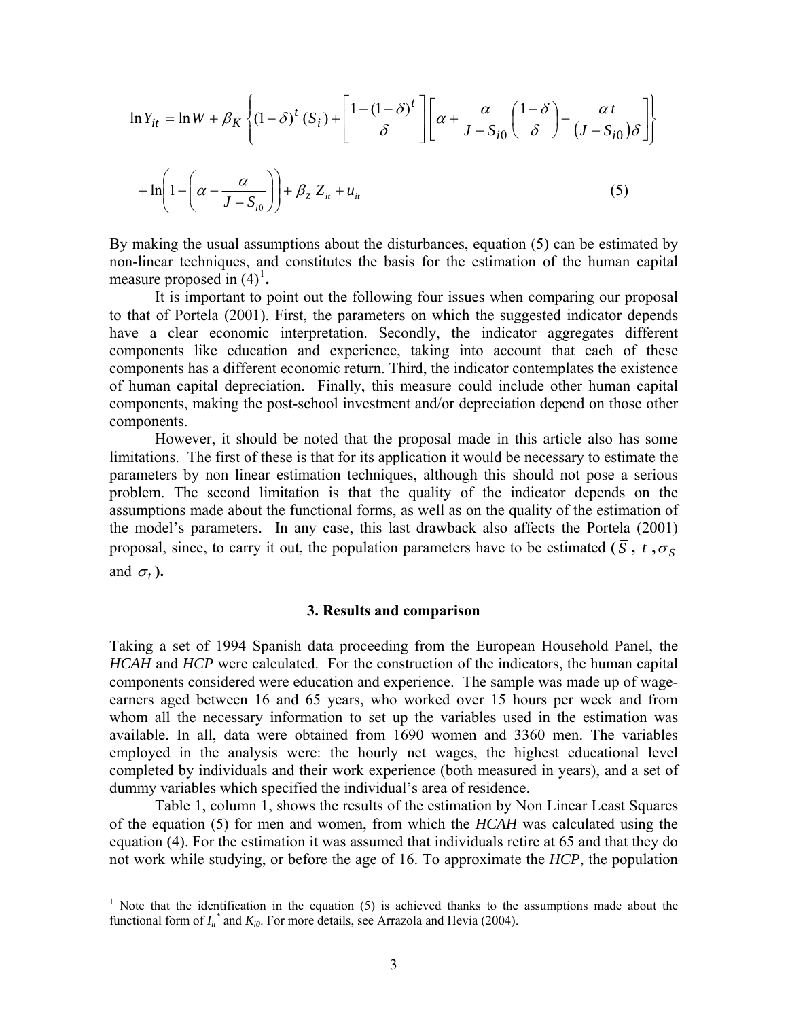$$
\ln Y_{it} = \ln W + \beta_K \left\{ (1 - \delta)^t (S_i) + \left[ \frac{1 - (1 - \delta)^t}{\delta} \right] \left[ \alpha + \frac{\alpha}{J - S_{i0}} \left( \frac{1 - \delta}{\delta} \right) - \frac{\alpha t}{(J - S_{i0}) \delta} \right] \right\}
$$

$$
+ \ln \left( 1 - \left( \alpha - \frac{\alpha}{J - S_{i0}} \right) \right) + \beta_Z Z_{it} + u_{it} \tag{5}
$$

By making the usual assumptions about the disturbances, equation (5) can be estimated by non-linear techniques, and constitutes the basis for the estimation of the human capital measure proposed in  $(4)^1$  $(4)^1$ .

It is important to point out the following four issues when comparing our proposal to that of Portela (2001). First, the parameters on which the suggested indicator depends have a clear economic interpretation. Secondly, the indicator aggregates different components like education and experience, taking into account that each of these components has a different economic return. Third, the indicator contemplates the existence of human capital depreciation. Finally, this measure could include other human capital components, making the post-school investment and/or depreciation depend on those other components.

However, it should be noted that the proposal made in this article also has some limitations. The first of these is that for its application it would be necessary to estimate the parameters by non linear estimation techniques, although this should not pose a serious problem. The second limitation is that the quality of the indicator depends on the assumptions made about the functional forms, as well as on the quality of the estimation of the model's parameters. In any case, this last drawback also affects the Portela (2001) proposal, since, to carry it out, the population parameters have to be estimated  $(\bar{S}, \bar{t}, \sigma_S)$ and  $\sigma_t$ ).

#### **3. Results and comparison**

Taking a set of 1994 Spanish data proceeding from the European Household Panel, the *HCAH* and *HCP* were calculated. For the construction of the indicators, the human capital components considered were education and experience. The sample was made up of wageearners aged between 16 and 65 years, who worked over 15 hours per week and from whom all the necessary information to set up the variables used in the estimation was available. In all, data were obtained from 1690 women and 3360 men. The variables employed in the analysis were: the hourly net wages, the highest educational level completed by individuals and their work experience (both measured in years), and a set of dummy variables which specified the individual's area of residence.

Table 1, column 1, shows the results of the estimation by Non Linear Least Squares of the equation (5) for men and women, from which the *HCAH* was calculated using the equation (4). For the estimation it was assumed that individuals retire at 65 and that they do not work while studying, or before the age of 16. To approximate the *HCP*, the population

1

<span id="page-3-0"></span><sup>1</sup> Note that the identification in the equation (5) is achieved thanks to the assumptions made about the functional form of  $I_{it}^*$  and  $K_{i0}$ . For more details, see Arrazola and Hevia (2004).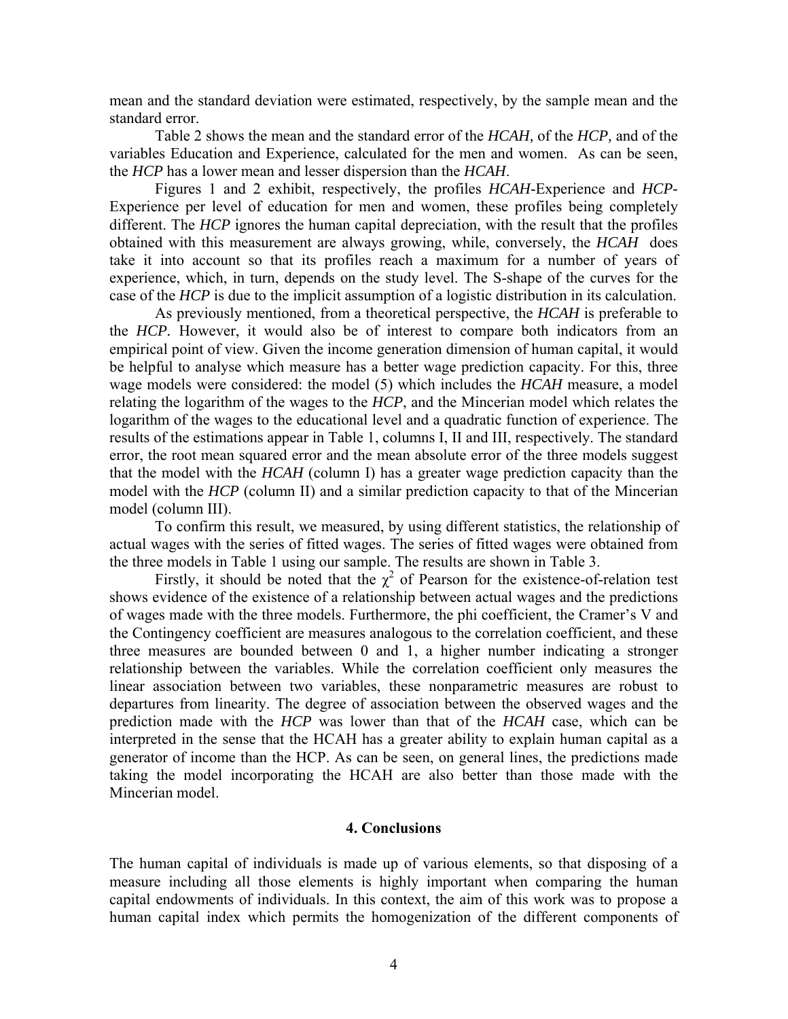mean and the standard deviation were estimated, respectively, by the sample mean and the standard error.

Table 2 shows the mean and the standard error of the *HCAH,* of the *HCP,* and of the variables Education and Experience, calculated for the men and women. As can be seen, the *HCP* has a lower mean and lesser dispersion than the *HCAH*.

Figures 1 and 2 exhibit, respectively, the profiles *HCAH*-Experience and *HCP-*Experience per level of education for men and women, these profiles being completely different. The *HCP* ignores the human capital depreciation, with the result that the profiles obtained with this measurement are always growing, while, conversely, the *HCAH* does take it into account so that its profiles reach a maximum for a number of years of experience, which, in turn, depends on the study level. The S-shape of the curves for the case of the *HCP* is due to the implicit assumption of a logistic distribution in its calculation.

As previously mentioned, from a theoretical perspective, the *HCAH* is preferable to the *HCP.* However, it would also be of interest to compare both indicators from an empirical point of view. Given the income generation dimension of human capital, it would be helpful to analyse which measure has a better wage prediction capacity. For this, three wage models were considered: the model (5) which includes the *HCAH* measure, a model relating the logarithm of the wages to the *HCP*, and the Mincerian model which relates the logarithm of the wages to the educational level and a quadratic function of experience. The results of the estimations appear in Table 1, columns I, II and III, respectively. The standard error, the root mean squared error and the mean absolute error of the three models suggest that the model with the *HCAH* (column I) has a greater wage prediction capacity than the model with the *HCP* (column II) and a similar prediction capacity to that of the Mincerian model (column III).

To confirm this result, we measured, by using different statistics, the relationship of actual wages with the series of fitted wages. The series of fitted wages were obtained from the three models in Table 1 using our sample. The results are shown in Table 3.

Firstly, it should be noted that the  $\chi^2$  of Pearson for the existence-of-relation test shows evidence of the existence of a relationship between actual wages and the predictions of wages made with the three models. Furthermore, the phi coefficient, the Cramer's V and the Contingency coefficient are measures analogous to the correlation coefficient, and these three measures are bounded between 0 and 1, a higher number indicating a stronger relationship between the variables. While the correlation coefficient only measures the linear association between two variables, these nonparametric measures are robust to departures from linearity. The degree of association between the observed wages and the prediction made with the *HCP* was lower than that of the *HCAH* case, which can be interpreted in the sense that the HCAH has a greater ability to explain human capital as a generator of income than the HCP. As can be seen, on general lines, the predictions made taking the model incorporating the HCAH are also better than those made with the Mincerian model.

### **4. Conclusions**

The human capital of individuals is made up of various elements, so that disposing of a measure including all those elements is highly important when comparing the human capital endowments of individuals. In this context, the aim of this work was to propose a human capital index which permits the homogenization of the different components of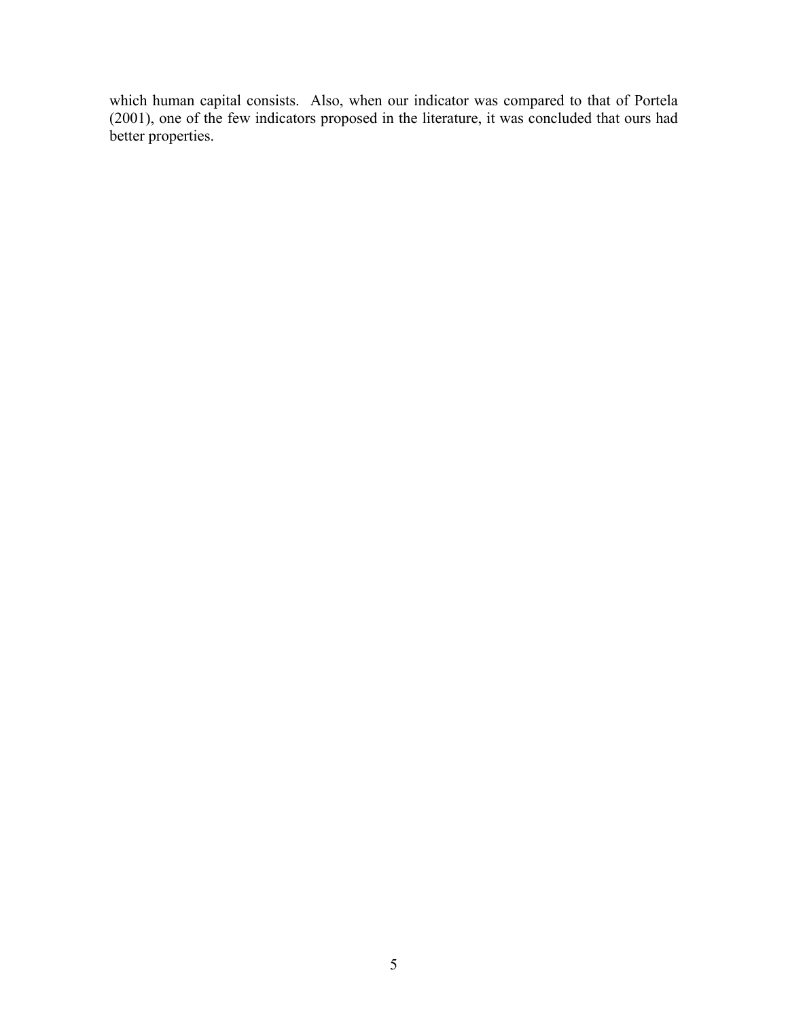which human capital consists. Also, when our indicator was compared to that of Portela (2001), one of the few indicators proposed in the literature, it was concluded that ours had better properties.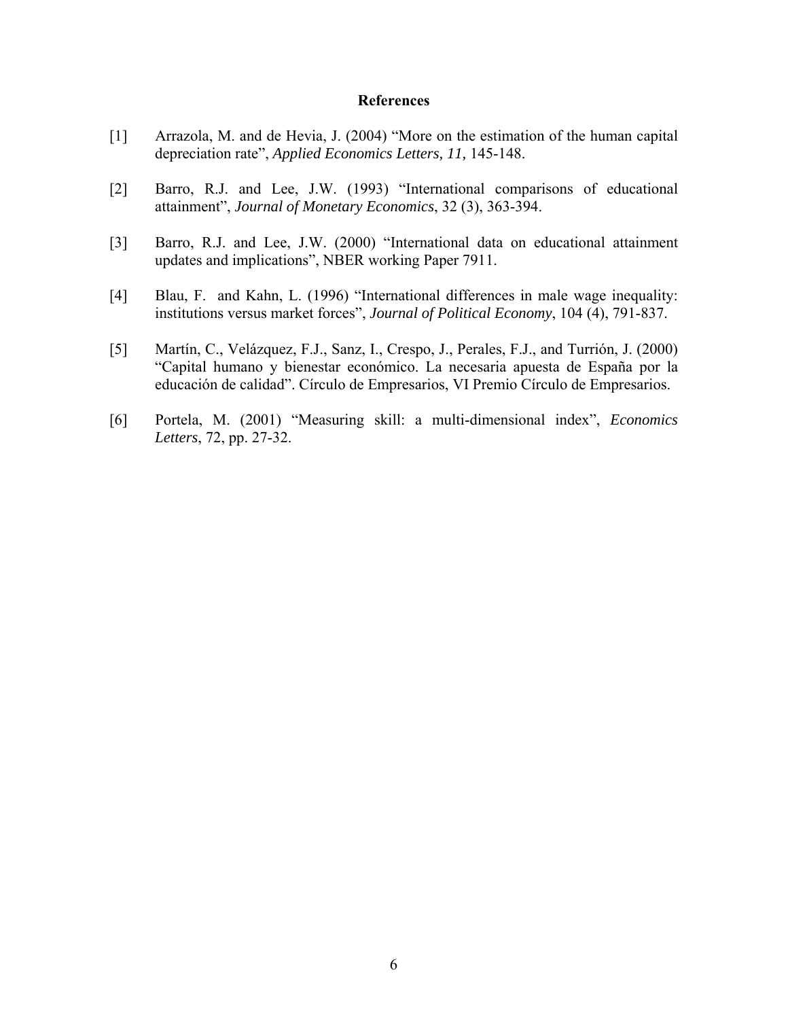### **References**

- [1] Arrazola, M. and de Hevia, J. (2004) "More on the estimation of the human capital depreciation rate", *Applied Economics Letters, 11,* 145-148.
- [2] Barro, R.J. and Lee, J.W. (1993) "International comparisons of educational attainment", *Journal of Monetary Economics*, 32 (3), 363-394.
- [3] Barro, R.J. and Lee, J.W. (2000) "International data on educational attainment updates and implications", NBER working Paper 7911.
- [4] Blau, F. and Kahn, L. (1996) "International differences in male wage inequality: institutions versus market forces", *Journal of Political Economy*, 104 (4), 791-837.
- [5] Martín, C., Velázquez, F.J., Sanz, I., Crespo, J., Perales, F.J., and Turrión, J. (2000) "Capital humano y bienestar económico. La necesaria apuesta de España por la educación de calidad". Círculo de Empresarios, VI Premio Círculo de Empresarios.
- [6] Portela, M. (2001) "Measuring skill: a multi-dimensional index", *Economics Letters*, 72, pp. 27-32.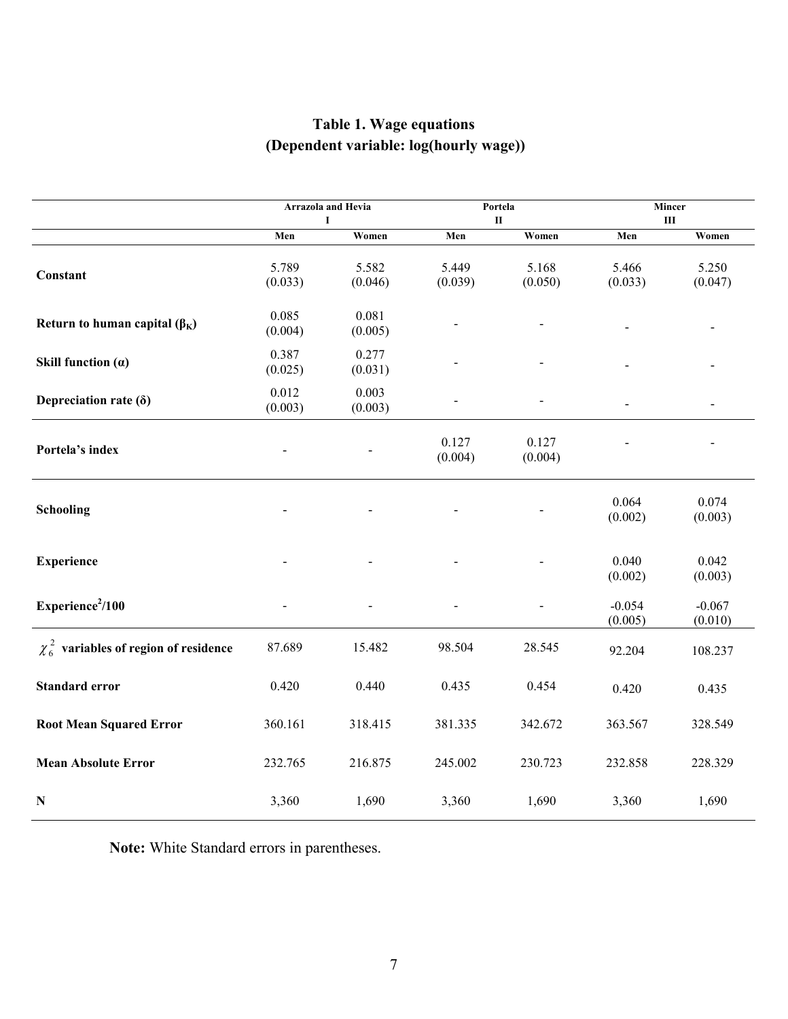# **Table 1. Wage equations (Dependent variable: log(hourly wage))**

|                                             | Arrazola and Hevia<br>1 |                  | Portela<br>П     |                  | Mincer<br>$\rm III$ |                     |
|---------------------------------------------|-------------------------|------------------|------------------|------------------|---------------------|---------------------|
|                                             | Men                     | Women            | Men              | Women            | Men                 | Women               |
| Constant                                    | 5.789<br>(0.033)        | 5.582<br>(0.046) | 5.449<br>(0.039) | 5.168<br>(0.050) | 5.466<br>(0.033)    | 5.250<br>(0.047)    |
| Return to human capital $(\beta_K)$         | 0.085<br>(0.004)        | 0.081<br>(0.005) |                  |                  |                     |                     |
| Skill function $(a)$                        | 0.387<br>(0.025)        | 0.277<br>(0.031) |                  |                  |                     |                     |
| Depreciation rate $(\delta)$                | 0.012<br>(0.003)        | 0.003<br>(0.003) |                  |                  |                     |                     |
| Portela's index                             |                         |                  | 0.127<br>(0.004) | 0.127<br>(0.004) |                     |                     |
| Schooling                                   |                         |                  |                  |                  | 0.064<br>(0.002)    | 0.074<br>(0.003)    |
| <b>Experience</b>                           |                         |                  |                  |                  | 0.040<br>(0.002)    | 0.042<br>(0.003)    |
| Experience <sup>2</sup> /100                |                         |                  |                  |                  | $-0.054$<br>(0.005) | $-0.067$<br>(0.010) |
| $\chi_6^2$ variables of region of residence | 87.689                  | 15.482           | 98.504           | 28.545           | 92.204              | 108.237             |
| <b>Standard error</b>                       | 0.420                   | 0.440            | 0.435            | 0.454            | 0.420               | 0.435               |
| <b>Root Mean Squared Error</b>              | 360.161                 | 318.415          | 381.335          | 342.672          | 363.567             | 328.549             |
| <b>Mean Absolute Error</b>                  | 232.765                 | 216.875          | 245.002          | 230.723          | 232.858             | 228.329             |
| ${\bf N}$                                   | 3,360                   | 1,690            | 3,360            | 1,690            | 3,360               | 1,690               |

**Note:** White Standard errors in parentheses.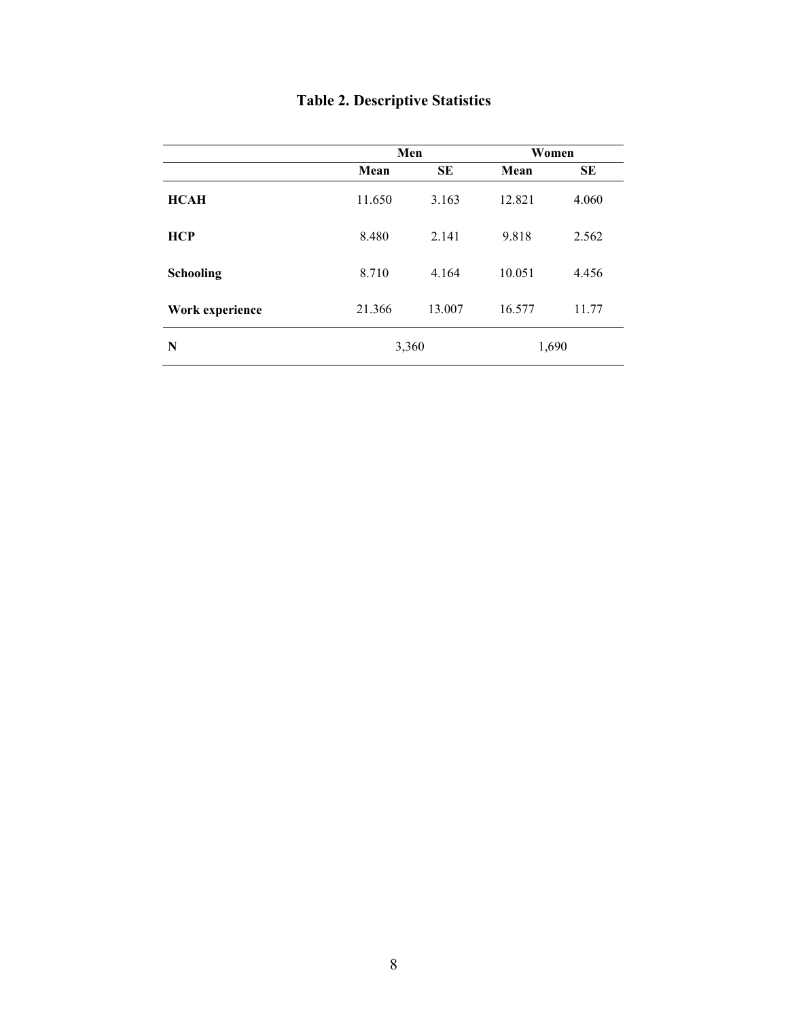| <b>Table 2. Descriptive Statistics</b> |  |  |  |  |
|----------------------------------------|--|--|--|--|
|----------------------------------------|--|--|--|--|

|                 |        | Men       | Women  |           |  |
|-----------------|--------|-----------|--------|-----------|--|
|                 | Mean   | <b>SE</b> | Mean   | <b>SE</b> |  |
| <b>HCAH</b>     | 11.650 | 3.163     | 12.821 | 4.060     |  |
| <b>HCP</b>      | 8.480  | 2.141     | 9.818  | 2.562     |  |
| Schooling       | 8.710  | 4.164     | 10.051 | 4.456     |  |
| Work experience | 21.366 | 13.007    | 16.577 | 11.77     |  |
| N               |        | 3,360     | 1,690  |           |  |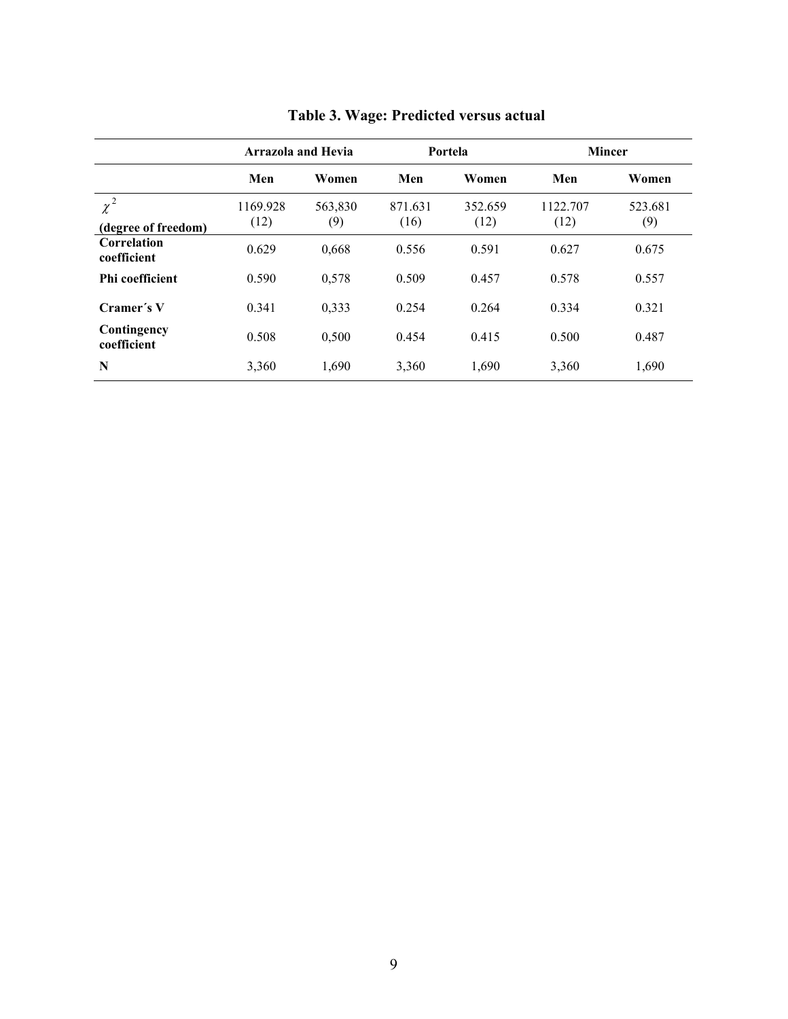|                                 | <b>Arrazola and Hevia</b> |                | Portela         |                 | <b>Mincer</b>    |                |
|---------------------------------|---------------------------|----------------|-----------------|-----------------|------------------|----------------|
|                                 | Men                       | Women          | Men             | Women           | Men              | Women          |
| $\chi^2$<br>(degree of freedom) | 1169.928<br>(12)          | 563,830<br>(9) | 871.631<br>(16) | 352.659<br>(12) | 1122.707<br>(12) | 523.681<br>(9) |
| Correlation<br>coefficient      | 0.629                     | 0,668          | 0.556           | 0.591           | 0.627            | 0.675          |
| <b>Phi coefficient</b>          | 0.590                     | 0,578          | 0.509           | 0.457           | 0.578            | 0.557          |
| Cramer's V                      | 0.341                     | 0,333          | 0.254           | 0.264           | 0.334            | 0.321          |
| Contingency<br>coefficient      | 0.508                     | 0,500          | 0.454           | 0.415           | 0.500            | 0.487          |
| N                               | 3,360                     | 1,690          | 3,360           | 1,690           | 3,360            | 1,690          |

## **Table 3. Wage: Predicted versus actual**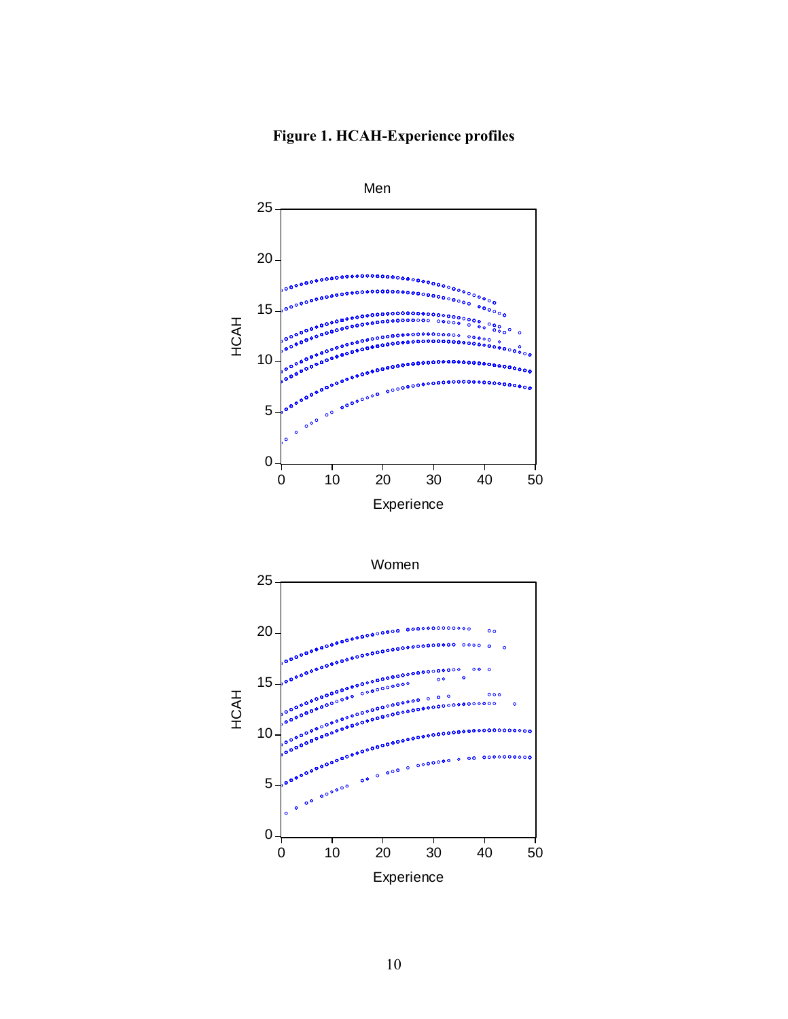